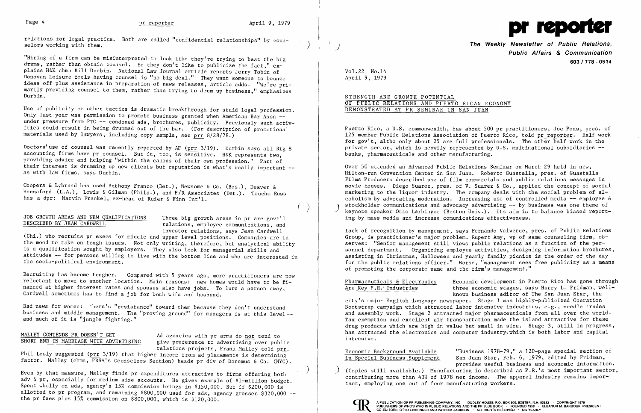Page 4 pr reporter April 9, 1979<br>
pril 9, 1979 pr predictions for legal practice. Both are called "confidential relationships" by coun-<br>
selors working with them. The Weekly Newsletter of Public

"Hiring of a firm can be misinterpreted to look like they're trying to beat the big drums, rather than obtain counsel. So they don't like to publicize the fact," explains H&K chmn Bill Durbin. National Law Journal article reports Jerry Tobin of Donovan Leisure feels having counsel is "no big deal." They want someone to bounce ideas off plus assistance in preparation of news releases, article adds. "We're primarily providing counsel to them, rather than trying to drum up business," emphasizes Durb in.

Use of publicity or other tactics is dramatic breakthrough for staid legal profession. Only last year was permission to promote business granted when American Bar Assn under pressure from FTC -- condoned ads, brochures, publicity. Previously such activities could result in being drummed out of the bar. (For description of promotional materials used by lawyers, including copy sample, see prr 8/28/78.)

Coopers & Lybrand has used Anthony Franco (Det.), Newsome & Co. (Bos.), Deaver & Hannaford (L.A.), Lewis & Gilman (Phila.), and P/R Associates (Det.). Touche Ross has a dpr: Marvin Frankel, ex-head of Ruder & Finn Int'l.

JOB GROWTH AREAS AND NEW QUALIFICATIONS Three big growth areas in pr are govt'l<br>DESCRIBED BY JEAN CARDWELL relations, employee communications, and

relations, employee communications, and investor relations, says Jean Cardwell

(Chi.) who recruits pr execs for middle and upper level positions. Companies are in the mood to take on tough issues. Not only writing, therefore, but analytical ability is a qualification sought by employers. They also look for managerial skills and attitudes -- for persons willing to live with the bottom line and who are interested in the socio-political environment.

Doctors'use of counsel was recently reported by AP (prr 3/19). Durbin says all Big 8 accounting firms have pr counsel. But it, too, is sensitive. H&K represents two, providing advice and helping "within the canons of their own profession." Part of their interest is drumming up new clients but reputation is what's really important -as with law firms, says Durbin.

MALLEY CONTENDS PR DOESN'T GET<br>SHORT END IN MARRIAGE WITH ADVERTISING are preference to advertising over pubgive preference to advertising over public relations projects, Frank Malley told prr.

)

The Weekly Newsletter of Public Relations, **Public Affairs & Communication**  *603* **I 718 - 0514** 

I

Recruiting has become tougher. Compared with 5 years ago, more practitioners are now reluctant to move to another location. Main reasons: new homes would have to be financed at higher interest rates and spouses also have jobs. To lure a person away, Cardwell sometimes has to find a job for both wife and husband.

Bad news for women: there's "resistance" toward them because they don't understand business and middle management. The "proving ground" for managers is at this level and much of it is "jungle fighting."

Phil Lesly suggested (prr 3/19) that higher income from ad placements is determining factor. Malley (chmn, PRSA's Counselors Section) heads pr div of Doremus & Co. (NYC). Pharmaceuticals & Electronics Economic development in Puerto Rico has gone through Are Key P.R. Industries three economic stages, says Harry L. Fridman, wellknown business editor of The San Juan Star, the city's major English language newspaper. Stage 1 was highly-publicized Operation Bootstrap campaign which attracted labor intensive industries, e.g., needle trades and assembly work. Stage 2 attracted major pharmaceuticals from all over the world. Tax exemption and excellent air transportation made the island attractive for these drug products which are high in value but small in size. Stage 3, still in progress, has attracted the electronics and computer industry, which is both labor and capital intensive.

A PUBLICATION OF PR PUBLISHING COMPANY, INC. DUDLEY HOUSE, P.O. BOX 600, EXETER, N.H. 03833 . COPYRIGHT 1979 CO-EDITORS: OTTO LERBINGER AND PATRICK JACKSON · ALL RIGHTS RESERVED · \$60 YEARLY



) Even by that measure, Malley finds pr expenditures attractive to firms offering both adv & pr, especially for medium size accounts. He gives example of \$l-million budget. Spent wholly on ads, agency's 15% commission brings in \$150,000. But if \$200,000 is allotted to pr program, and remaining \$800,000 used for ads, agency grosses \$320,000 -the pr fees plus 15% commission on \$800,000, which is \$120,000.

Vol. 22 No .14 April 9, 1979

### STRENGTH AND GROWTH POTENTIAL OF PUBLIC RELATIONS AND PUERTO RICAN ECONOMY DEMONSTRATED AT PR SEMINAR IN SAN JUAN

Puerto Rico, a U.S. commonwealth, has about 500 pr practitioners, Joe Pons, pres. of 125 member Public Relations Association of Puerto Rico, told pr reporter. Half work for gov't, altho only about 25 are full professionals. The other half work in the private sector, which is heavily represented by U.S. multinational subsidiaries banks, pharmaceuticals and other manufacturing.

Over 50 attended an Advanced Public Relations Seminar on March 29 held in new, Hilton-run Convention Center in San Juan. Roberto Guastella, pres. of Guastella Films Producers described use of film commercials and public relations messages in movie houses. Diego Suarez, pres. of V. Suarez & Co., applied the concept of social marketing to the liquor industry. The company deals with the social problem of alcoholism by advocating moderation. Increasing use of controlled media -- employee &<br>stockholder communications and advocacy advertising -- by business was one theme of keynote speaker Otto Lerbinger (Boston Univ.). Its aim is to balance biased reporting by mass media and increase comunications effectiveness.

Lack of recognition by management, says Fernando Valverde, pres. of Public Relations Group, is practitioner's major problem. Rupert Amy, vp of same counseling firm, observes: "Senior management still views public relations as a function of the personnel department. Organizing employee activities, designing information brochures, assisting in Christmas, Halloween and yearly family picnics is the order of the day for the public relations officer." Worse, "management sees free publicity as a means of promoting the corporate name and the firm's management."

Economic Background Available "Business 1978-79," a l20-page special section of in Special Business Supplement San Juan Star, Feb. 6, 1979, edited by Fridman, provides useful business and economic information. (Copies still available.) Manufacturing is described as  $P.R.$ 's most important sector, contributing more than 43% of 1978 net income. The apparel industry remains important, employing one out of four manufacturing workers.